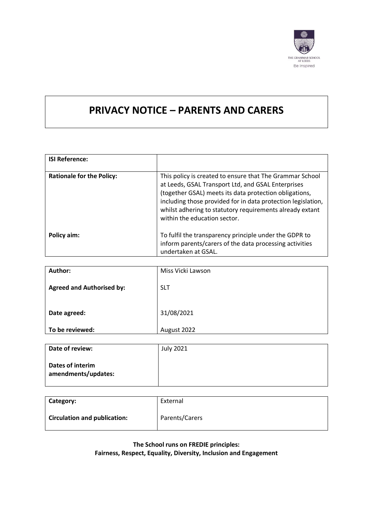

# **PRIVACY NOTICE – PARENTS AND CARERS**

| <b>ISI Reference:</b>            |                                                                                                                                                                                                                                                                                                                                      |
|----------------------------------|--------------------------------------------------------------------------------------------------------------------------------------------------------------------------------------------------------------------------------------------------------------------------------------------------------------------------------------|
| <b>Rationale for the Policy:</b> | This policy is created to ensure that The Grammar School<br>at Leeds, GSAL Transport Ltd, and GSAL Enterprises<br>(together GSAL) meets its data protection obligations,<br>including those provided for in data protection legislation,<br>whilst adhering to statutory requirements already extant<br>within the education sector. |
| Policy aim:                      | To fulfil the transparency principle under the GDPR to<br>inform parents/carers of the data processing activities<br>undertaken at GSAL.                                                                                                                                                                                             |

| Author:                          | Miss Vicki Lawson |
|----------------------------------|-------------------|
| <b>Agreed and Authorised by:</b> | <b>SLT</b>        |
| Date agreed:                     | 31/08/2021        |
| To be reviewed:                  | August 2022       |

| Date of review:                         | <b>July 2021</b> |
|-----------------------------------------|------------------|
| Dates of interim<br>amendments/updates: |                  |

| Category:                           | External       |
|-------------------------------------|----------------|
| <b>Circulation and publication:</b> | Parents/Carers |

**The School runs on FREDIE principles:** 

**Fairness, Respect, Equality, Diversity, Inclusion and Engagement**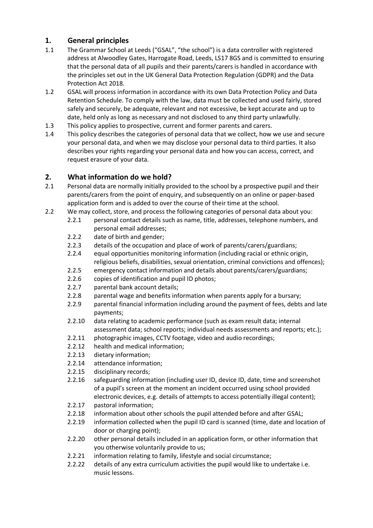# **1. General principles**

- 1.1 The Grammar School at Leeds ("GSAL", "the school") is a data controller with registered address at Alwoodley Gates, Harrogate Road, Leeds, LS17 8GS and is committed to ensuring that the personal data of all pupils and their parents/carers is handled in accordance with the principles set out in the UK General Data Protection Regulation (GDPR) and the Data Protection Act 2018.
- 1.2 GSAL will process information in accordance with its own Data Protection Policy and Data Retention Schedule. To comply with the law, data must be collected and used fairly, stored safely and securely, be adequate, relevant and not excessive, be kept accurate and up to date, held only as long as necessary and not disclosed to any third party unlawfully.
- 1.3 This policy applies to prospective, current and former parents and carers.
- 1.4 This policy describes the categories of personal data that we collect, how we use and secure your personal data, and when we may disclose your personal data to third parties. It also describes your rights regarding your personal data and how you can access, correct, and request erasure of your data.

#### **2. What information do we hold?**

- 2.1 Personal data are normally initially provided to the school by a prospective pupil and their parents/carers from the point of enquiry, and subsequently on an online or paper-based application form and is added to over the course of their time at the school.
- 2.2 We may collect, store, and process the following categories of personal data about you:
	- 2.2.1 personal contact details such as name, title, addresses, telephone numbers, and personal email addresses;
	- 2.2.2 date of birth and gender;
	- 2.2.3 details of the occupation and place of work of parents/carers/guardians;
	- 2.2.4 equal opportunities monitoring information (including racial or ethnic origin, religious beliefs, disabilities, sexual orientation, criminal convictions and offences);
	- 2.2.5 emergency contact information and details about parents/carers/guardians;
	- 2.2.6 copies of identification and pupil ID photos;
	- 2.2.7 parental bank account details;
	- 2.2.8 parental wage and benefits information when parents apply for a bursary;
	- 2.2.9 parental financial information including around the payment of fees, debts and late payments;
	- 2.2.10 data relating to academic performance (such as exam result data; internal assessment data; school reports; individual needs assessments and reports; etc.);
	- 2.2.11 photographic images, CCTV footage, video and audio recordings;
	- 2.2.12 health and medical information;
	- 2.2.13 dietary information;
	- 2.2.14 attendance information;
	- 2.2.15 disciplinary records;
	- 2.2.16 safeguarding information (including user ID, device ID, date, time and screenshot of a pupil's screen at the moment an incident occurred using school provided electronic devices, e.g. details of attempts to access potentially illegal content);
	- 2.2.17 pastoral information;
	- 2.2.18 information about other schools the pupil attended before and after GSAL;
	- 2.2.19 information collected when the pupil ID card is scanned (time, date and location of door or charging point);
	- 2.2.20 other personal details included in an application form, or other information that you otherwise voluntarily provide to us;
	- 2.2.21 information relating to family, lifestyle and social circumstance;
	- 2.2.22 details of any extra curriculum activities the pupil would like to undertake i.e. music lessons.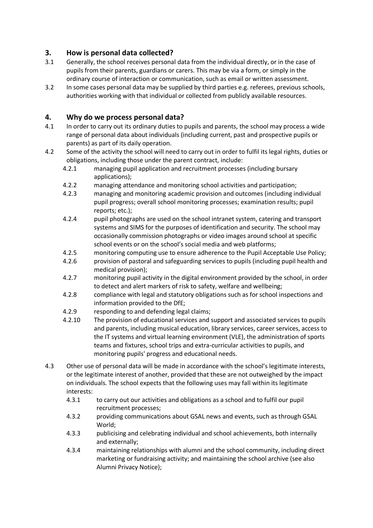## **3. How is personal data collected?**

- 3.1 Generally, the school receives personal data from the individual directly, or in the case of pupils from their parents, guardians or carers. This may be via a form, or simply in the ordinary course of interaction or communication, such as email or written assessment.
- 3.2 In some cases personal data may be supplied by third parties e.g. referees, previous schools, authorities working with that individual or collected from publicly available resources.

## **4. Why do we process personal data?**

- 4.1 In order to carry out its ordinary duties to pupils and parents, the school may process a wide range of personal data about individuals (including current, past and prospective pupils or parents) as part of its daily operation.
- 4.2 Some of the activity the school will need to carry out in order to fulfil its legal rights, duties or obligations, including those under the parent contract, include:
	- 4.2.1 managing pupil application and recruitment processes (including bursary applications);
	- 4.2.2 managing attendance and monitoring school activities and participation;
	- 4.2.3 managing and monitoring academic provision and outcomes (including individual pupil progress; overall school monitoring processes; examination results; pupil reports; etc.);
	- 4.2.4 pupil photographs are used on the school intranet system, catering and transport systems and SIMS for the purposes of identification and security. The school may occasionally commission photographs or video images around school at specific school events or on the school's social media and web platforms;
	- 4.2.5 monitoring computing use to ensure adherence to the Pupil Acceptable Use Policy;
	- 4.2.6 provision of pastoral and safeguarding services to pupils (including pupil health and medical provision);
	- 4.2.7 monitoring pupil activity in the digital environment provided by the school, in order to detect and alert markers of risk to safety, welfare and wellbeing;
	- 4.2.8 compliance with legal and statutory obligations such as for school inspections and information provided to the DfE;
	- 4.2.9 responding to and defending legal claims;
	- 4.2.10 The provision of educational services and support and associated services to pupils and parents, including musical education, library services, career services, access to the IT systems and virtual learning environment (VLE), the administration of sports teams and fixtures, school trips and extra-curricular activities to pupils, and monitoring pupils' progress and educational needs.
- 4.3 Other use of personal data will be made in accordance with the school's legitimate interests, or the legitimate interest of another, provided that these are not outweighed by the impact on individuals. The school expects that the following uses may fall within its legitimate interests:
	- 4.3.1 to carry out our activities and obligations as a school and to fulfil our pupil recruitment processes;
	- 4.3.2 providing communications about GSAL news and events, such as through GSAL World;
	- 4.3.3 publicising and celebrating individual and school achievements, both internally and externally;
	- 4.3.4 maintaining relationships with alumni and the school community, including direct marketing or fundraising activity; and maintaining the school archive (see also Alumni Privacy Notice);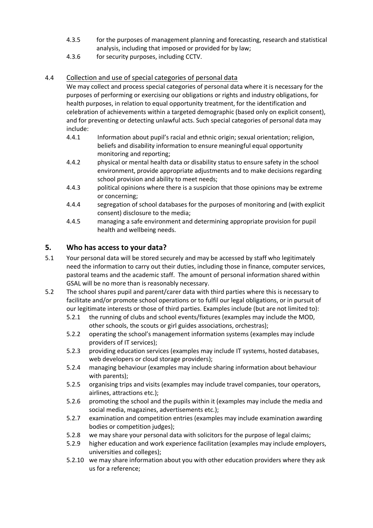- 4.3.5 for the purposes of management planning and forecasting, research and statistical analysis, including that imposed or provided for by law;
- 4.3.6 for security purposes, including CCTV.

## 4.4 Collection and use of special categories of personal data

We may collect and process special categories of personal data where it is necessary for the purposes of performing or exercising our obligations or rights and industry obligations, for health purposes, in relation to equal opportunity treatment, for the identification and celebration of achievements within a targeted demographic (based only on explicit consent), and for preventing or detecting unlawful acts. Such special categories of personal data may include:

- 4.4.1 Information about pupil's racial and ethnic origin; sexual orientation; religion, beliefs and disability information to ensure meaningful equal opportunity monitoring and reporting;
- 4.4.2 physical or mental health data or disability status to ensure safety in the school environment, provide appropriate adjustments and to make decisions regarding school provision and ability to meet needs;
- 4.4.3 political opinions where there is a suspicion that those opinions may be extreme or concerning;
- 4.4.4 segregation of school databases for the purposes of monitoring and (with explicit consent) disclosure to the media;
- 4.4.5 managing a safe environment and determining appropriate provision for pupil health and wellbeing needs.

# **5. Who has access to your data?**

- 5.1 Your personal data will be stored securely and may be accessed by staff who legitimately need the information to carry out their duties, including those in finance, computer services, pastoral teams and the academic staff. The amount of personal information shared within GSAL will be no more than is reasonably necessary.
- 5.2 The school shares pupil and parent/carer data with third parties where this is necessary to facilitate and/or promote school operations or to fulfil our legal obligations, or in pursuit of our legitimate interests or those of third parties. Examples include (but are not limited to):
	- 5.2.1 the running of clubs and school events/fixtures (examples may include the MOD, other schools, the scouts or girl guides associations, orchestras);
	- 5.2.2 operating the school's management information systems (examples may include providers of IT services);
	- 5.2.3 providing education services (examples may include IT systems, hosted databases, web developers or cloud storage providers);
	- 5.2.4 managing behaviour (examples may include sharing information about behaviour with parents);
	- 5.2.5 organising trips and visits (examples may include travel companies, tour operators, airlines, attractions etc.);
	- 5.2.6 promoting the school and the pupils within it (examples may include the media and social media, magazines, advertisements etc.);
	- 5.2.7 examination and competition entries (examples may include examination awarding bodies or competition judges);
	- 5.2.8 we may share your personal data with solicitors for the purpose of legal claims;
	- 5.2.9 higher education and work experience facilitation (examples may include employers, universities and colleges);
	- 5.2.10 we may share information about you with other education providers where they ask us for a reference;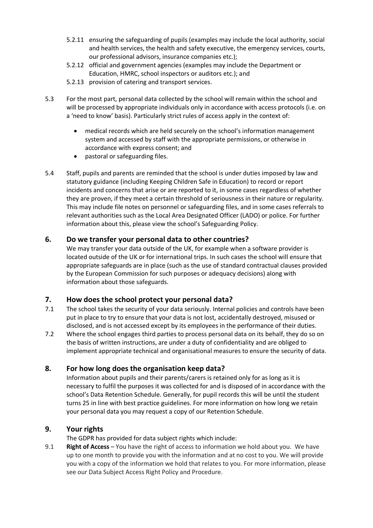- 5.2.11 ensuring the safeguarding of pupils (examples may include the local authority, social and health services, the health and safety executive, the emergency services, courts, our professional advisors, insurance companies etc.);
- 5.2.12 official and government agencies (examples may include the Department or Education, HMRC, school inspectors or auditors etc.); and
- 5.2.13 provision of catering and transport services.
- 5.3 For the most part, personal data collected by the school will remain within the school and will be processed by appropriate individuals only in accordance with access protocols (i.e. on a 'need to know' basis). Particularly strict rules of access apply in the context of:
	- medical records which are held securely on the school's information management system and accessed by staff with the appropriate permissions, or otherwise in accordance with express consent; and
	- pastoral or safeguarding files.
- 5.4 Staff, pupils and parents are reminded that the school is under duties imposed by law and statutory guidance (including Keeping Children Safe in Education) to record or report incidents and concerns that arise or are reported to it, in some cases regardless of whether they are proven, if they meet a certain threshold of seriousness in their nature or regularity. This may include file notes on personnel or safeguarding files, and in some cases referrals to relevant authorities such as the Local Area Designated Officer (LADO) or police. For further information about this, please view the school's Safeguarding Policy.

#### **6. Do we transfer your personal data to other countries?**

We may transfer your data outside of the UK, for example when a software provider is located outside of the UK or for international trips. In such cases the school will ensure that appropriate safeguards are in place (such as the use of standard contractual clauses provided by the European Commission for such purposes or adequacy decisions) along with information about those safeguards.

#### **7. How does the school protect your personal data?**

- 7.1 The school takes the security of your data seriously. Internal policies and controls have been put in place to try to ensure that your data is not lost, accidentally destroyed, misused or disclosed, and is not accessed except by its employees in the performance of their duties.
- 7.2 Where the school engages third parties to process personal data on its behalf, they do so on the basis of written instructions, are under a duty of confidentiality and are obliged to implement appropriate technical and organisational measures to ensure the security of data.

#### **8. For how long does the organisation keep data?**

Information about pupils and their parents/carers is retained only for as long as it is necessary to fulfil the purposes it was collected for and is disposed of in accordance with the school's Data Retention Schedule. Generally, for pupil records this will be until the student turns 25 in line with best practice guidelines. For more information on how long we retain your personal data you may request a copy of our Retention Schedule.

#### **9. Your rights**

The GDPR has provided for data subject rights which include:

9.1 **Right of Access** – You have the right of access to information we hold about you. We have up to one month to provide you with the information and at no cost to you. We will provide you with a copy of the information we hold that relates to you. For more information, please see our Data Subject Access Right Policy and Procedure.